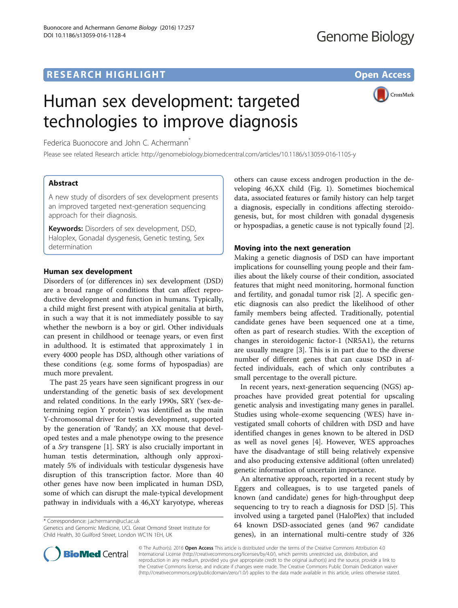# **RESEARCH HIGHLIGHT CONSUMING THE OPEN ACCESS**

CrossMark

# Human sex development: targeted technologies to improve diagnosis

Federica Buonocore and John C. Achermann<sup>\*</sup>

Please see related Research article:<http://genomebiology.biomedcentral.com/articles/10.1186/s13059-016-1105-y>

# Abstract

A new study of disorders of sex development presents an improved targeted next-generation sequencing approach for their diagnosis.

Keywords: Disorders of sex development, DSD, Haloplex, Gonadal dysgenesis, Genetic testing, Sex determination

# Human sex development

Disorders of (or differences in) sex development (DSD) are a broad range of conditions that can affect reproductive development and function in humans. Typically, a child might first present with atypical genitalia at birth, in such a way that it is not immediately possible to say whether the newborn is a boy or girl. Other individuals can present in childhood or teenage years, or even first in adulthood. It is estimated that approximately 1 in every 4000 people has DSD, although other variations of these conditions (e.g. some forms of hypospadias) are much more prevalent.

The past 25 years have seen significant progress in our understanding of the genetic basis of sex development and related conditions. In the early 1990s, SRY ('sex-determining region Y protein') was identified as the main Y-chromosomal driver for testis development, supported by the generation of 'Randy', an XX mouse that developed testes and a male phenotype owing to the presence of a Sry transgene [[1\]](#page-2-0). SRY is also crucially important in human testis determination, although only approximately 5% of individuals with testicular dysgenesis have disruption of this transcription factor. More than 40 other genes have now been implicated in human DSD, some of which can disrupt the male-typical development pathway in individuals with a 46,XY karyotype, whereas

\* Correspondence: [j.achermann@ucl.ac.uk](mailto:j.achermann@ucl.ac.uk)

Genetics and Genomic Medicine, UCL Great Ormond Street Institute for Child Health, 30 Guilford Street, London WC1N 1EH, UK

others can cause excess androgen production in the developing 46,XX child (Fig. [1\)](#page-1-0). Sometimes biochemical data, associated features or family history can help target a diagnosis, especially in conditions affecting steroidogenesis, but, for most children with gonadal dysgenesis or hypospadias, a genetic cause is not typically found [\[2](#page-2-0)].

# Moving into the next generation

Making a genetic diagnosis of DSD can have important implications for counselling young people and their families about the likely course of their condition, associated features that might need monitoring, hormonal function and fertility, and gonadal tumor risk [[2](#page-2-0)]. A specific genetic diagnosis can also predict the likelihood of other family members being affected. Traditionally, potential candidate genes have been sequenced one at a time, often as part of research studies. With the exception of changes in steroidogenic factor-1 (NR5A1), the returns are usually meagre [\[3](#page-2-0)]. This is in part due to the diverse number of different genes that can cause DSD in affected individuals, each of which only contributes a small percentage to the overall picture.

In recent years, next-generation sequencing (NGS) approaches have provided great potential for upscaling genetic analysis and investigating many genes in parallel. Studies using whole-exome sequencing (WES) have investigated small cohorts of children with DSD and have identified changes in genes known to be altered in DSD as well as novel genes [\[4](#page-2-0)]. However, WES approaches have the disadvantage of still being relatively expensive and also producing extensive additional (often unrelated) genetic information of uncertain importance.

An alternative approach, reported in a recent study by Eggers and colleagues, is to use targeted panels of known (and candidate) genes for high-throughput deep sequencing to try to reach a diagnosis for DSD [[5\]](#page-2-0). This involved using a targeted panel (HaloPlex) that included 64 known DSD-associated genes (and 967 candidate genes), in an international multi-centre study of 326



© The Author(s). 2016 Open Access This article is distributed under the terms of the Creative Commons Attribution 4.0 International License [\(http://creativecommons.org/licenses/by/4.0/](http://creativecommons.org/licenses/by/4.0/)), which permits unrestricted use, distribution, and reproduction in any medium, provided you give appropriate credit to the original author(s) and the source, provide a link to the Creative Commons license, and indicate if changes were made. The Creative Commons Public Domain Dedication waiver [\(http://creativecommons.org/publicdomain/zero/1.0/](http://creativecommons.org/publicdomain/zero/1.0/)) applies to the data made available in this article, unless otherwise stated.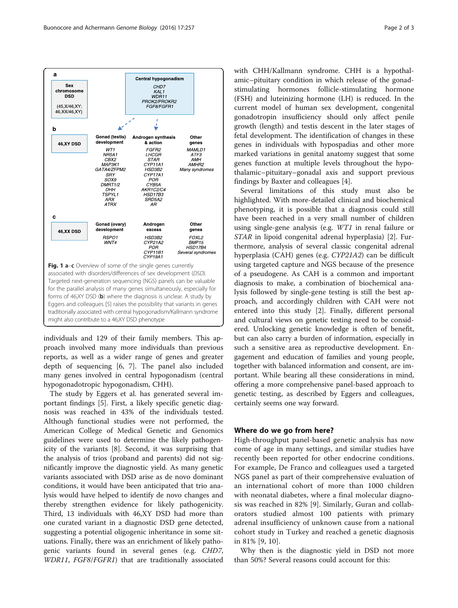<span id="page-1-0"></span>

individuals and 129 of their family members. This approach involved many more individuals than previous reports, as well as a wider range of genes and greater depth of sequencing [[6](#page-2-0), [7](#page-2-0)]. The panel also included many genes involved in central hypogonadism (central hypogonadotropic hypogonadism, CHH).

The study by Eggers et al. has generated several important findings [\[5](#page-2-0)]. First, a likely specific genetic diagnosis was reached in 43% of the individuals tested. Although functional studies were not performed, the American College of Medical Genetic and Genomics guidelines were used to determine the likely pathogenicity of the variants [\[8](#page-2-0)]. Second, it was surprising that the analysis of trios (proband and parents) did not significantly improve the diagnostic yield. As many genetic variants associated with DSD arise as de novo dominant conditions, it would have been anticipated that trio analysis would have helped to identify de novo changes and thereby strengthen evidence for likely pathogenicity. Third, 13 individuals with 46,XY DSD had more than one curated variant in a diagnostic DSD gene detected, suggesting a potential oligogenic inheritance in some situations. Finally, there was an enrichment of likely pathogenic variants found in several genes (e.g. CHD7, WDR11, FGF8/FGFR1) that are traditionally associated with CHH/Kallmann syndrome. CHH is a hypothalamic–pituitary condition in which release of the gonadstimulating hormones follicle-stimulating hormone (FSH) and luteinizing hormone (LH) is reduced. In the current model of human sex development, congenital gonadotropin insufficiency should only affect penile growth (length) and testis descent in the later stages of fetal development. The identification of changes in these genes in individuals with hypospadias and other more marked variations in genital anatomy suggest that some genes function at multiple levels throughout the hypothalamic–pituitary–gonadal axis and support previous findings by Baxter and colleagues [[4\]](#page-2-0).

Several limitations of this study must also be highlighted. With more-detailed clinical and biochemical phenotyping, it is possible that a diagnosis could still have been reached in a very small number of children using single-gene analysis (e.g. WT1 in renal failure or STAR in lipoid congenital adrenal hyperplasia) [[2\]](#page-2-0). Furthermore, analysis of several classic congenital adrenal hyperplasia (CAH) genes (e.g. CYP21A2) can be difficult using targeted capture and NGS because of the presence of a pseudogene. As CAH is a common and important diagnosis to make, a combination of biochemical analysis followed by single-gene testing is still the best approach, and accordingly children with CAH were not entered into this study [[2](#page-2-0)]. Finally, different personal and cultural views on genetic testing need to be considered. Unlocking genetic knowledge is often of benefit, but can also carry a burden of information, especially in such a sensitive area as reproductive development. Engagement and education of families and young people, together with balanced information and consent, are important. While bearing all these considerations in mind, offering a more comprehensive panel-based approach to genetic testing, as described by Eggers and colleagues, certainly seems one way forward.

# Where do we go from here?

High-throughput panel-based genetic analysis has now come of age in many settings, and similar studies have recently been reported for other endocrine conditions. For example, De Franco and colleagues used a targeted NGS panel as part of their comprehensive evaluation of an international cohort of more than 1000 children with neonatal diabetes, where a final molecular diagnosis was reached in 82% [[9\]](#page-2-0). Similarly, Guran and collaborators studied almost 100 patients with primary adrenal insufficiency of unknown cause from a national cohort study in Turkey and reached a genetic diagnosis in 81% [[9, 10](#page-2-0)].

Why then is the diagnostic yield in DSD not more than 50%? Several reasons could account for this: